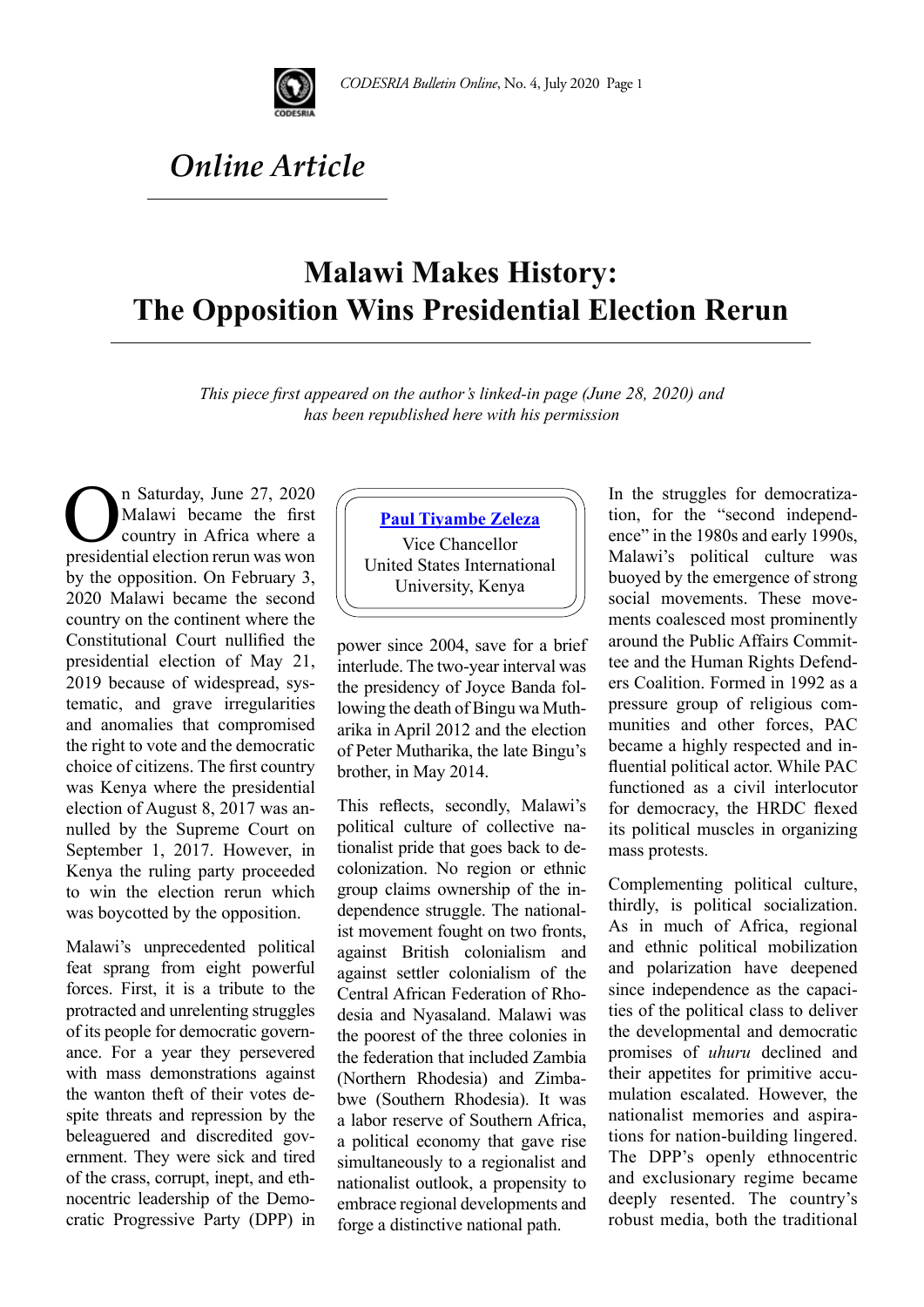

## *Online Article*

## **Malawi Makes History: The Opposition Wins Presidential Election Rerun**

*This piece first appeared on the author's linked-in page (June 28, 2020) and has been republished here with his permission* 

**CON** In Saturday, June 27, 2020<br>
Malawi became the first<br>
country in Africa where a<br>
presidential election rerun was won Malawi became the first country in Africa where a by the opposition. On February 3, 2020 Malawi became the second country on the continent where the Constitutional Court nullified the presidential election of May 21, 2019 because of widespread, systematic, and grave irregularities and anomalies that compromised the right to vote and the democratic choice of citizens. The first country was Kenya where the presidential election of August 8, 2017 was annulled by the Supreme Court on September 1, 2017. However, in Kenya the ruling party proceeded to win the election rerun which was boycotted by the opposition.

Malawi's unprecedented political feat sprang from eight powerful forces. First, it is a tribute to the protracted and unrelenting struggles of its people for democratic governance. For a year they persevered with mass demonstrations against the wanton theft of their votes despite threats and repression by the beleaguered and discredited government. They were sick and tired of the crass, corrupt, inept, and ethnocentric leadership of the Democratic Progressive Party (DPP) in

## **[Paul Tiyambe Zeleza](https://ke.linkedin.com/in/paul-tiyambe-zeleza-b91ab051?trk=author_mini-profile_title)**

Vice Chancellor United States International University, Kenya

power since 2004, save for a brief interlude. The two-year interval was the presidency of Joyce Banda following the death of Bingu wa Mutharika in April 2012 and the election of Peter Mutharika, the late Bingu's brother, in May 2014.

This reflects, secondly, Malawi's political culture of collective nationalist pride that goes back to decolonization. No region or ethnic group claims ownership of the independence struggle. The nationalist movement fought on two fronts, against British colonialism and against settler colonialism of the Central African Federation of Rhodesia and Nyasaland. Malawi was the poorest of the three colonies in the federation that included Zambia (Northern Rhodesia) and Zimbabwe (Southern Rhodesia). It was a labor reserve of Southern Africa, a political economy that gave rise simultaneously to a regionalist and nationalist outlook, a propensity to embrace regional developments and forge a distinctive national path.

In the struggles for democratization, for the "second independence" in the 1980s and early 1990s, Malawi's political culture was buoyed by the emergence of strong social movements. These movements coalesced most prominently around the Public Affairs Committee and the Human Rights Defenders Coalition. Formed in 1992 as a pressure group of religious communities and other forces, PAC became a highly respected and influential political actor. While PAC functioned as a civil interlocutor for democracy, the HRDC flexed its political muscles in organizing mass protests.

Complementing political culture, thirdly, is political socialization. As in much of Africa, regional and ethnic political mobilization and polarization have deepened since independence as the capacities of the political class to deliver the developmental and democratic promises of *uhuru* declined and their appetites for primitive accumulation escalated. However, the nationalist memories and aspirations for nation-building lingered. The DPP's openly ethnocentric and exclusionary regime became deeply resented. The country's robust media, both the traditional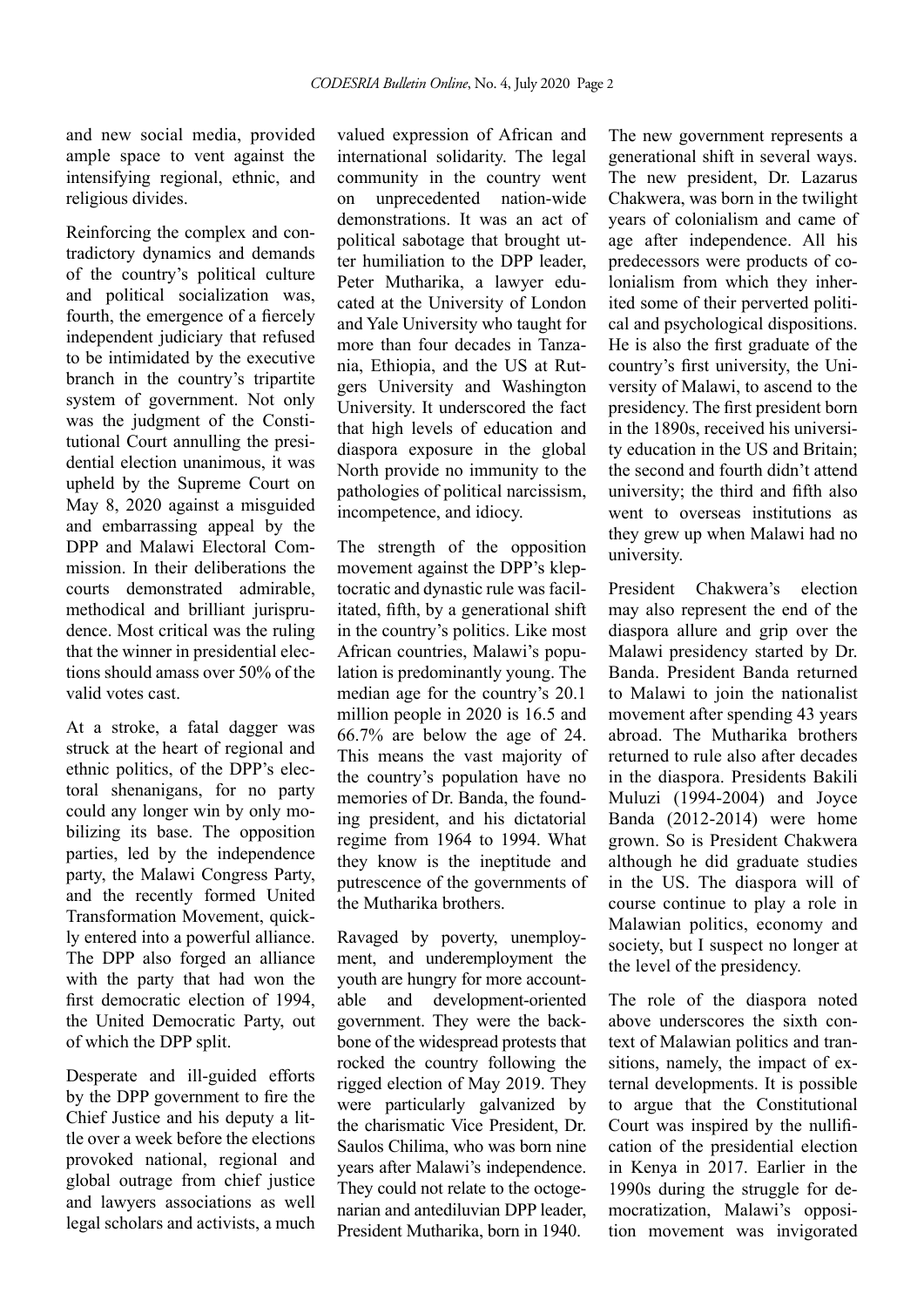and new social media, provided ample space to vent against the intensifying regional, ethnic, and religious divides.

Reinforcing the complex and contradictory dynamics and demands of the country's political culture and political socialization was, fourth, the emergence of a fiercely independent judiciary that refused to be intimidated by the executive branch in the country's tripartite system of government. Not only was the judgment of the Constitutional Court annulling the presidential election unanimous, it was upheld by the Supreme Court on May 8, 2020 against a misguided and embarrassing appeal by the DPP and Malawi Electoral Commission. In their deliberations the courts demonstrated admirable, methodical and brilliant jurisprudence. Most critical was the ruling that the winner in presidential elections should amass over 50% of the valid votes cast.

At a stroke, a fatal dagger was struck at the heart of regional and ethnic politics, of the DPP's electoral shenanigans, for no party could any longer win by only mobilizing its base. The opposition parties, led by the independence party, the Malawi Congress Party, and the recently formed United Transformation Movement, quickly entered into a powerful alliance. The DPP also forged an alliance with the party that had won the first democratic election of 1994, the United Democratic Party, out of which the DPP split.

Desperate and ill-guided efforts by the DPP government to fire the Chief Justice and his deputy a little over a week before the elections provoked national, regional and global outrage from chief justice and lawyers associations as well legal scholars and activists, a much

valued expression of African and international solidarity. The legal community in the country went on unprecedented nation-wide demonstrations. It was an act of political sabotage that brought utter humiliation to the DPP leader, Peter Mutharika, a lawyer educated at the University of London and Yale University who taught for more than four decades in Tanzania, Ethiopia, and the US at Rutgers University and Washington University. It underscored the fact that high levels of education and diaspora exposure in the global North provide no immunity to the pathologies of political narcissism, incompetence, and idiocy.

The strength of the opposition movement against the DPP's kleptocratic and dynastic rule was facilitated, fifth, by a generational shift in the country's politics. Like most African countries, Malawi's population is predominantly young. The median age for the country's 20.1 million people in 2020 is 16.5 and 66.7% are below the age of 24. This means the vast majority of the country's population have no memories of Dr. Banda, the founding president, and his dictatorial regime from 1964 to 1994. What they know is the ineptitude and putrescence of the governments of the Mutharika brothers.

Ravaged by poverty, unemployment, and underemployment the youth are hungry for more accountable and development-oriented government. They were the backbone of the widespread protests that rocked the country following the rigged election of May 2019. They were particularly galvanized by the charismatic Vice President, Dr. Saulos Chilima, who was born nine years after Malawi's independence. They could not relate to the octogenarian and antediluvian DPP leader, President Mutharika, born in 1940.

The new government represents a generational shift in several ways. The new president, Dr. Lazarus Chakwera, was born in the twilight years of colonialism and came of age after independence. All his predecessors were products of colonialism from which they inherited some of their perverted political and psychological dispositions. He is also the first graduate of the country's first university, the University of Malawi, to ascend to the presidency. The first president born in the 1890s, received his university education in the US and Britain; the second and fourth didn't attend university; the third and fifth also went to overseas institutions as they grew up when Malawi had no university.

President Chakwera's election may also represent the end of the diaspora allure and grip over the Malawi presidency started by Dr. Banda. President Banda returned to Malawi to join the nationalist movement after spending 43 years abroad. The Mutharika brothers returned to rule also after decades in the diaspora. Presidents Bakili Muluzi (1994-2004) and Joyce Banda (2012-2014) were home grown. So is President Chakwera although he did graduate studies in the US. The diaspora will of course continue to play a role in Malawian politics, economy and society, but I suspect no longer at the level of the presidency.

The role of the diaspora noted above underscores the sixth context of Malawian politics and transitions, namely, the impact of external developments. It is possible to argue that the Constitutional Court was inspired by the nullification of the presidential election in Kenya in 2017. Earlier in the 1990s during the struggle for democratization, Malawi's opposition movement was invigorated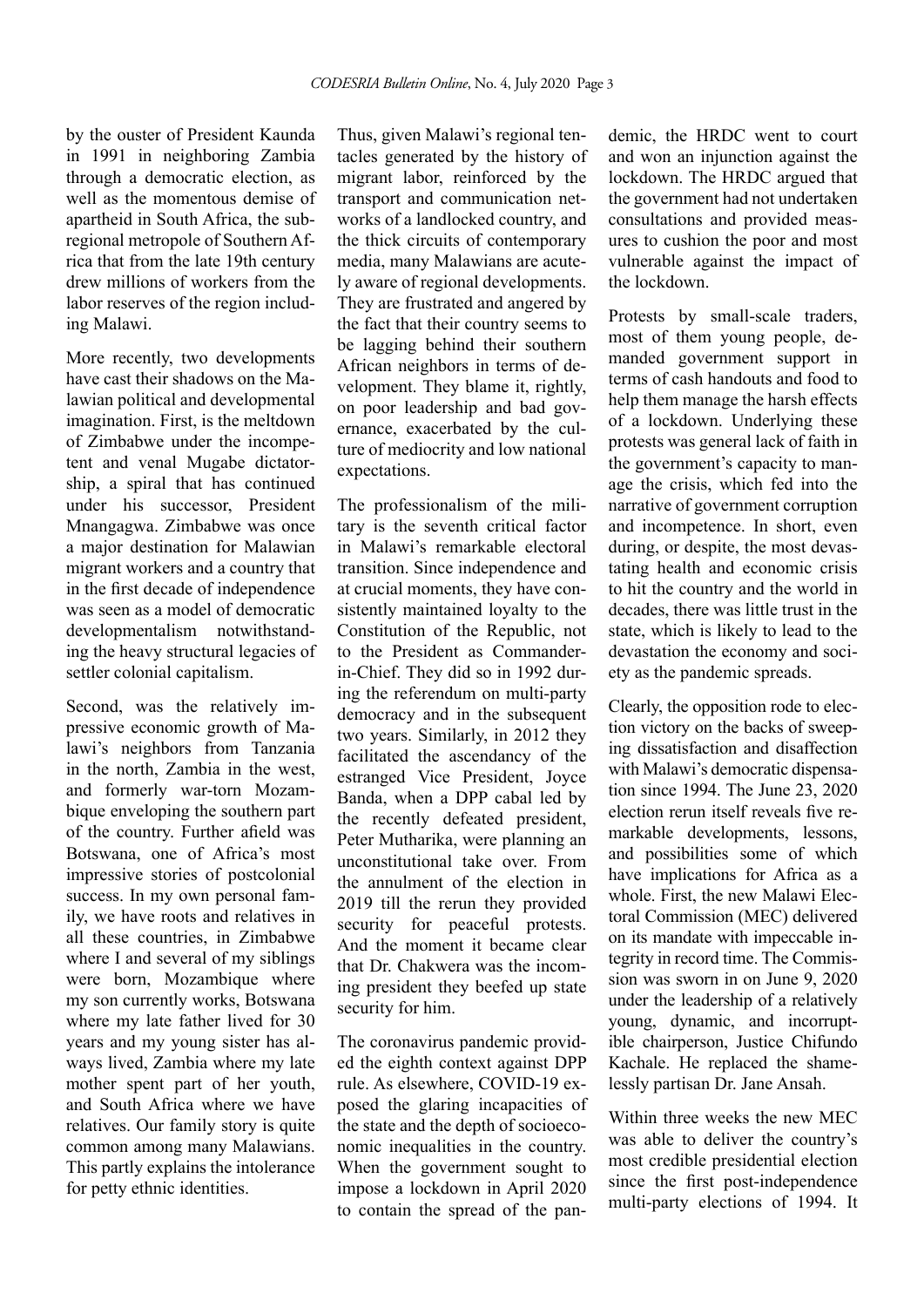by the ouster of President Kaunda in 1991 in neighboring Zambia through a democratic election, as well as the momentous demise of apartheid in South Africa, the subregional metropole of Southern Africa that from the late 19th century drew millions of workers from the labor reserves of the region including Malawi.

More recently, two developments have cast their shadows on the Malawian political and developmental imagination. First, is the meltdown of Zimbabwe under the incompetent and venal Mugabe dictatorship, a spiral that has continued under his successor, President Mnangagwa. Zimbabwe was once a major destination for Malawian migrant workers and a country that in the first decade of independence was seen as a model of democratic developmentalism notwithstanding the heavy structural legacies of settler colonial capitalism.

Second, was the relatively impressive economic growth of Malawi's neighbors from Tanzania in the north, Zambia in the west, and formerly war-torn Mozambique enveloping the southern part of the country. Further afield was Botswana, one of Africa's most impressive stories of postcolonial success. In my own personal family, we have roots and relatives in all these countries, in Zimbabwe where I and several of my siblings were born, Mozambique where my son currently works, Botswana where my late father lived for 30 years and my young sister has always lived, Zambia where my late mother spent part of her youth, and South Africa where we have relatives. Our family story is quite common among many Malawians. This partly explains the intolerance for petty ethnic identities.

Thus, given Malawi's regional tentacles generated by the history of migrant labor, reinforced by the transport and communication networks of a landlocked country, and the thick circuits of contemporary media, many Malawians are acutely aware of regional developments. They are frustrated and angered by the fact that their country seems to be lagging behind their southern African neighbors in terms of development. They blame it, rightly, on poor leadership and bad governance, exacerbated by the culture of mediocrity and low national expectations.

The professionalism of the military is the seventh critical factor in Malawi's remarkable electoral transition. Since independence and at crucial moments, they have consistently maintained loyalty to the Constitution of the Republic, not to the President as Commanderin-Chief. They did so in 1992 during the referendum on multi-party democracy and in the subsequent two years. Similarly, in 2012 they facilitated the ascendancy of the estranged Vice President, Joyce Banda, when a DPP cabal led by the recently defeated president, Peter Mutharika, were planning an unconstitutional take over. From the annulment of the election in 2019 till the rerun they provided security for peaceful protests. And the moment it became clear that Dr. Chakwera was the incoming president they beefed up state security for him.

The coronavirus pandemic provided the eighth context against DPP rule. As elsewhere, COVID-19 exposed the glaring incapacities of the state and the depth of socioeconomic inequalities in the country. When the government sought to impose a lockdown in April 2020 to contain the spread of the pandemic, the HRDC went to court and won an injunction against the lockdown. The HRDC argued that the government had not undertaken consultations and provided measures to cushion the poor and most vulnerable against the impact of the lockdown.

Protests by small-scale traders, most of them young people, demanded government support in terms of cash handouts and food to help them manage the harsh effects of a lockdown. Underlying these protests was general lack of faith in the government's capacity to manage the crisis, which fed into the narrative of government corruption and incompetence. In short, even during, or despite, the most devastating health and economic crisis to hit the country and the world in decades, there was little trust in the state, which is likely to lead to the devastation the economy and society as the pandemic spreads.

Clearly, the opposition rode to election victory on the backs of sweeping dissatisfaction and disaffection with Malawi's democratic dispensation since 1994. The June 23, 2020 election rerun itself reveals five remarkable developments, lessons, and possibilities some of which have implications for Africa as a whole. First, the new Malawi Electoral Commission (MEC) delivered on its mandate with impeccable integrity in record time. The Commission was sworn in on June 9, 2020 under the leadership of a relatively young, dynamic, and incorruptible chairperson, Justice Chifundo Kachale. He replaced the shamelessly partisan Dr. Jane Ansah.

Within three weeks the new MEC was able to deliver the country's most credible presidential election since the first post-independence multi-party elections of 1994. It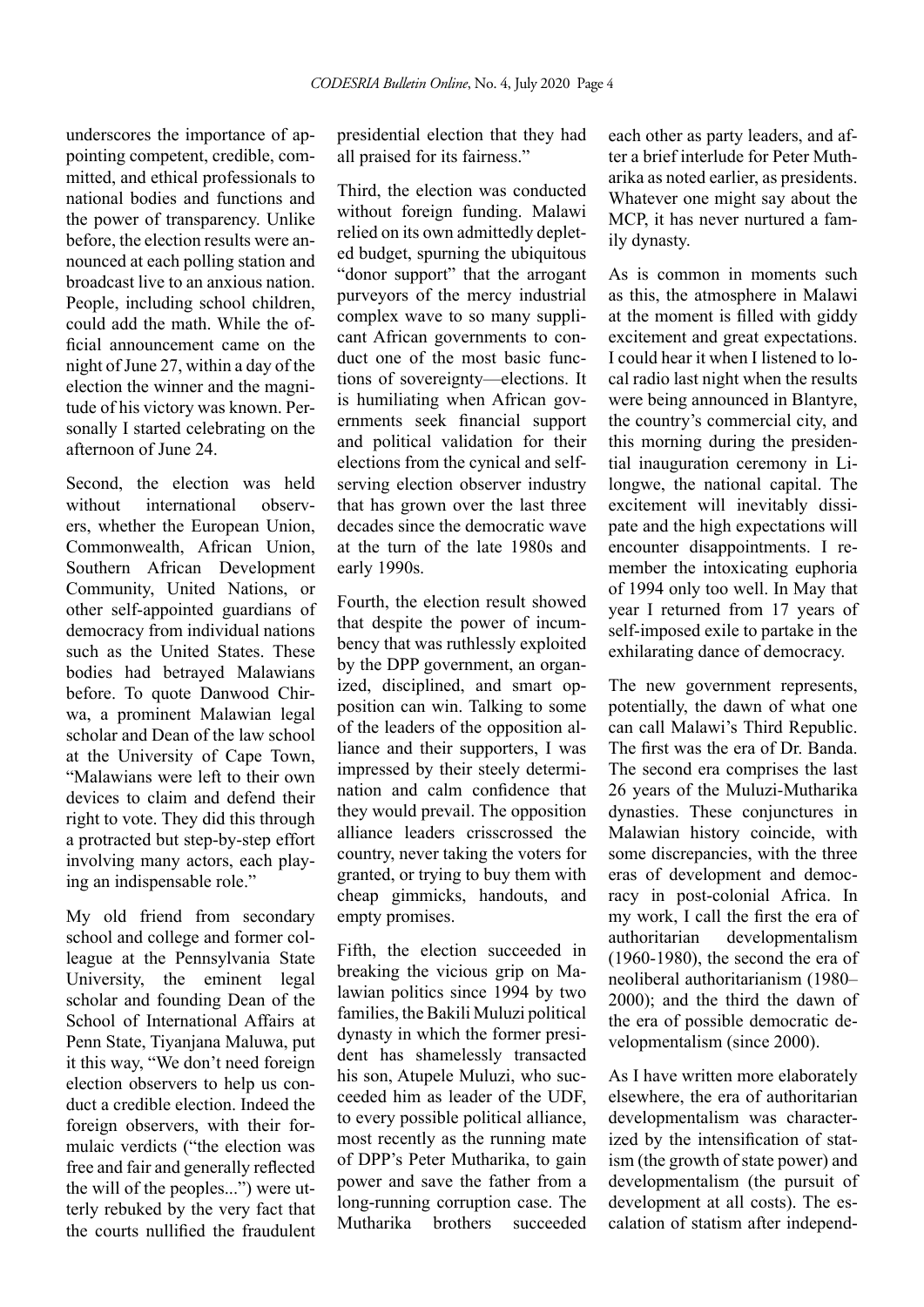underscores the importance of appointing competent, credible, committed, and ethical professionals to national bodies and functions and the power of transparency. Unlike before, the election results were announced at each polling station and broadcast live to an anxious nation. People, including school children, could add the math. While the official announcement came on the night of June 27, within a day of the election the winner and the magnitude of his victory was known. Personally I started celebrating on the afternoon of June 24.

Second, the election was held without international observers, whether the European Union, Commonwealth, African Union, Southern African Development Community, United Nations, or other self-appointed guardians of democracy from individual nations such as the United States. These bodies had betrayed Malawians before. To quote Danwood Chirwa, a prominent Malawian legal scholar and Dean of the law school at the University of Cape Town, "Malawians were left to their own devices to claim and defend their right to vote. They did this through a protracted but step-by-step effort involving many actors, each playing an indispensable role."

My old friend from secondary school and college and former colleague at the Pennsylvania State University, the eminent legal scholar and founding Dean of the School of International Affairs at Penn State, Tiyanjana Maluwa, put it this way, "We don't need foreign election observers to help us conduct a credible election. Indeed the foreign observers, with their formulaic verdicts ("the election was free and fair and generally reflected the will of the peoples...") were utterly rebuked by the very fact that the courts nullified the fraudulent presidential election that they had all praised for its fairness."

Third, the election was conducted without foreign funding. Malawi relied on its own admittedly depleted budget, spurning the ubiquitous "donor support" that the arrogant purveyors of the mercy industrial complex wave to so many supplicant African governments to conduct one of the most basic functions of sovereignty—elections. It is humiliating when African governments seek financial support and political validation for their elections from the cynical and selfserving election observer industry that has grown over the last three decades since the democratic wave at the turn of the late 1980s and early 1990s.

Fourth, the election result showed that despite the power of incumbency that was ruthlessly exploited by the DPP government, an organized, disciplined, and smart opposition can win. Talking to some of the leaders of the opposition alliance and their supporters, I was impressed by their steely determination and calm confidence that they would prevail. The opposition alliance leaders crisscrossed the country, never taking the voters for granted, or trying to buy them with cheap gimmicks, handouts, and empty promises.

Fifth, the election succeeded in breaking the vicious grip on Malawian politics since 1994 by two families, the Bakili Muluzi political dynasty in which the former president has shamelessly transacted his son, Atupele Muluzi, who succeeded him as leader of the UDF, to every possible political alliance, most recently as the running mate of DPP's Peter Mutharika, to gain power and save the father from a long-running corruption case. The Mutharika brothers succeeded each other as party leaders, and after a brief interlude for Peter Mutharika as noted earlier, as presidents. Whatever one might say about the MCP, it has never nurtured a family dynasty.

As is common in moments such as this, the atmosphere in Malawi at the moment is filled with giddy excitement and great expectations. I could hear it when I listened to local radio last night when the results were being announced in Blantyre, the country's commercial city, and this morning during the presidential inauguration ceremony in Lilongwe, the national capital. The excitement will inevitably dissipate and the high expectations will encounter disappointments. I remember the intoxicating euphoria of 1994 only too well. In May that year I returned from 17 years of self-imposed exile to partake in the exhilarating dance of democracy.

The new government represents, potentially, the dawn of what one can call Malawi's Third Republic. The first was the era of Dr. Banda. The second era comprises the last 26 years of the Muluzi-Mutharika dynasties. These conjunctures in Malawian history coincide, with some discrepancies, with the three eras of development and democracy in post-colonial Africa. In my work, I call the first the era of authoritarian developmentalism (1960-1980), the second the era of neoliberal authoritarianism (1980– 2000); and the third the dawn of the era of possible democratic developmentalism (since 2000).

As I have written more elaborately elsewhere, the era of authoritarian developmentalism was characterized by the intensification of statism (the growth of state power) and developmentalism (the pursuit of development at all costs). The escalation of statism after independ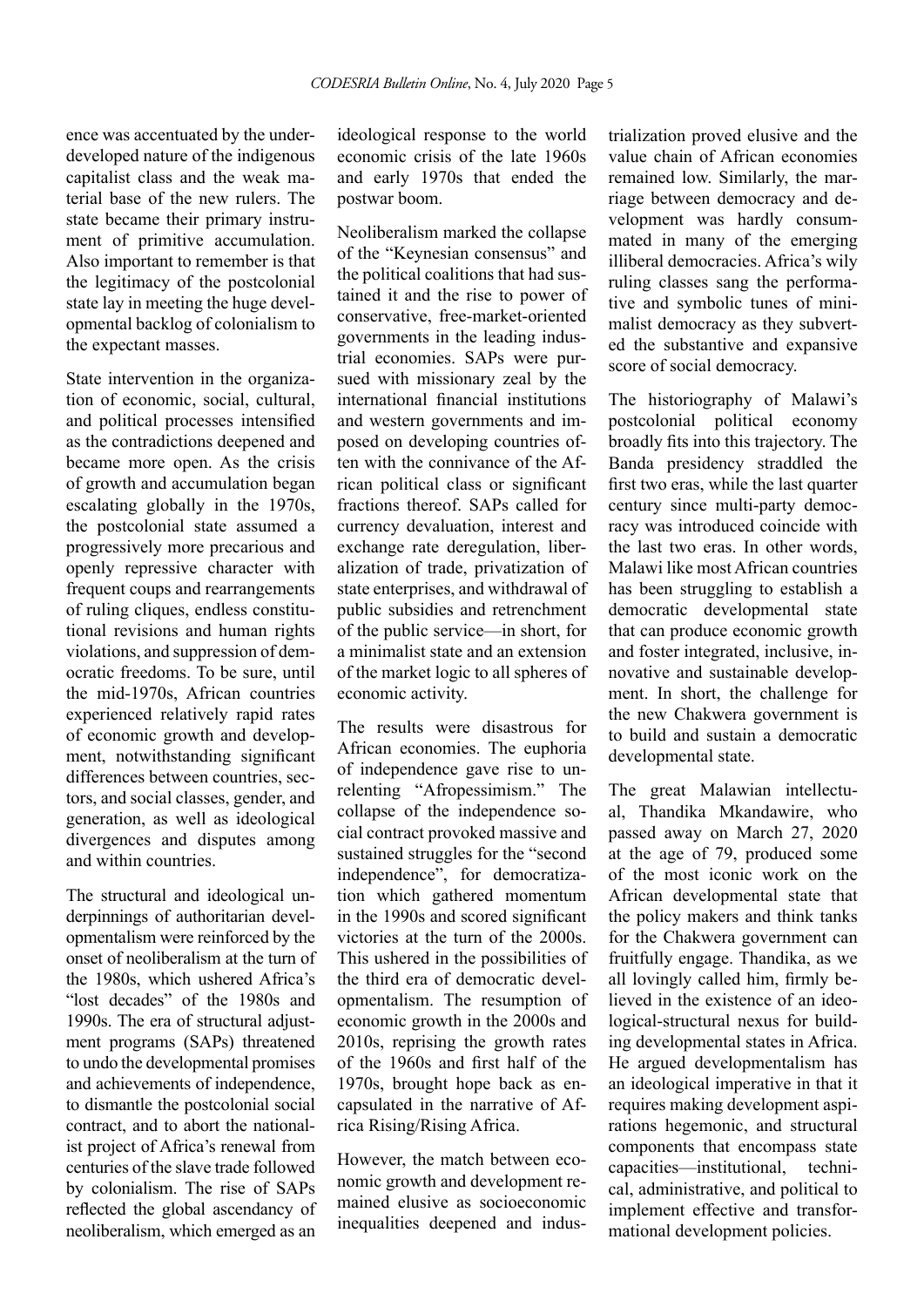ence was accentuated by the underdeveloped nature of the indigenous capitalist class and the weak material base of the new rulers. The state became their primary instrument of primitive accumulation. Also important to remember is that the legitimacy of the postcolonial state lay in meeting the huge developmental backlog of colonialism to the expectant masses.

State intervention in the organization of economic, social, cultural, and political processes intensified as the contradictions deepened and became more open. As the crisis of growth and accumulation began escalating globally in the 1970s, the postcolonial state assumed a progressively more precarious and openly repressive character with frequent coups and rearrangements of ruling cliques, endless constitutional revisions and human rights violations, and suppression of democratic freedoms. To be sure, until the mid-1970s, African countries experienced relatively rapid rates of economic growth and development, notwithstanding significant differences between countries, sectors, and social classes, gender, and generation, as well as ideological divergences and disputes among and within countries.

The structural and ideological underpinnings of authoritarian developmentalism were reinforced by the onset of neoliberalism at the turn of the 1980s, which ushered Africa's "lost decades" of the 1980s and 1990s. The era of structural adjustment programs (SAPs) threatened to undo the developmental promises and achievements of independence, to dismantle the postcolonial social contract, and to abort the nationalist project of Africa's renewal from centuries of the slave trade followed by colonialism. The rise of SAPs reflected the global ascendancy of neoliberalism, which emerged as an

ideological response to the world economic crisis of the late 1960s and early 1970s that ended the postwar boom.

Neoliberalism marked the collapse of the "Keynesian consensus" and the political coalitions that had sustained it and the rise to power of conservative, free-market-oriented governments in the leading industrial economies. SAPs were pursued with missionary zeal by the international financial institutions and western governments and imposed on developing countries often with the connivance of the African political class or significant fractions thereof. SAPs called for currency devaluation, interest and exchange rate deregulation, liberalization of trade, privatization of state enterprises, and withdrawal of public subsidies and retrenchment of the public service—in short, for a minimalist state and an extension of the market logic to all spheres of economic activity.

The results were disastrous for African economies. The euphoria of independence gave rise to unrelenting "Afropessimism." The collapse of the independence social contract provoked massive and sustained struggles for the "second independence", for democratization which gathered momentum in the 1990s and scored significant victories at the turn of the 2000s. This ushered in the possibilities of the third era of democratic developmentalism. The resumption of economic growth in the 2000s and 2010s, reprising the growth rates of the 1960s and first half of the 1970s, brought hope back as encapsulated in the narrative of Africa Rising/Rising Africa.

However, the match between economic growth and development remained elusive as socioeconomic inequalities deepened and industrialization proved elusive and the value chain of African economies remained low. Similarly, the marriage between democracy and development was hardly consummated in many of the emerging illiberal democracies. Africa's wily ruling classes sang the performative and symbolic tunes of minimalist democracy as they subverted the substantive and expansive score of social democracy.

The historiography of Malawi's postcolonial political economy broadly fits into this trajectory. The Banda presidency straddled the first two eras, while the last quarter century since multi-party democracy was introduced coincide with the last two eras. In other words, Malawi like most African countries has been struggling to establish a democratic developmental state that can produce economic growth and foster integrated, inclusive, innovative and sustainable development. In short, the challenge for the new Chakwera government is to build and sustain a democratic developmental state.

The great Malawian intellectual, Thandika Mkandawire, who passed away on March 27, 2020 at the age of 79, produced some of the most iconic work on the African developmental state that the policy makers and think tanks for the Chakwera government can fruitfully engage. Thandika, as we all lovingly called him, firmly believed in the existence of an ideological-structural nexus for building developmental states in Africa. He argued developmentalism has an ideological imperative in that it requires making development aspirations hegemonic, and structural components that encompass state capacities—institutional, technical, administrative, and political to implement effective and transformational development policies.